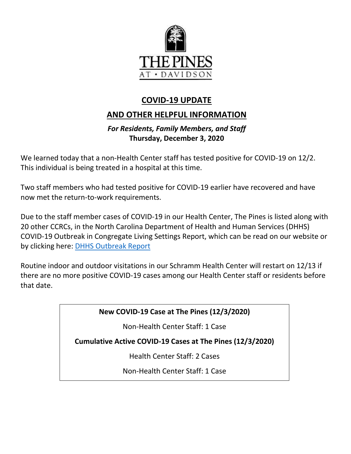

# **COVID-19 UPDATE**

# **AND OTHER HELPFUL INFORMATION**

## *For Residents, Family Members, and Staff* **Thursday, December 3, 2020**

We learned today that a non-Health Center staff has tested positive for COVID-19 on 12/2. This individual is being treated in a hospital at this time.

Two staff members who had tested positive for COVID-19 earlier have recovered and have now met the return-to-work requirements.

Due to the staff member cases of COVID-19 in our Health Center, The Pines is listed along with 20 other CCRCs, in the North Carolina Department of Health and Human Services (DHHS) COVID-19 Outbreak in Congregate Living Settings Report, which can be read on our website or by clicking here: **DHHS Outbreak Report** 

Routine indoor and outdoor visitations in our Schramm Health Center will restart on 12/13 if there are no more positive COVID-19 cases among our Health Center staff or residents before that date.

**New COVID-19 Case at The Pines (12/3/2020)**

Non-Health Center Staff: 1 Case

**Cumulative Active COVID-19 Cases at The Pines (12/3/2020)**

Health Center Staff: 2 Cases

Non-Health Center Staff: 1 Case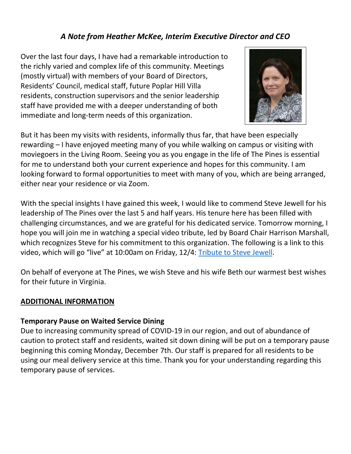## *A Note from Heather McKee, Interim Executive Director and CEO*

Over the last four days, I have had a remarkable introduction to the richly varied and complex life of this community. Meetings (mostly virtual) with members of your Board of Directors, Residents' Council, medical staff, future Poplar Hill Villa residents, construction supervisors and the senior leadership staff have provided me with a deeper understanding of both immediate and long-term needs of this organization.



But it has been my visits with residents, informally thus far, that have been especially rewarding – I have enjoyed meeting many of you while walking on campus or visiting with moviegoers in the Living Room. Seeing you as you engage in the life of The Pines is essential for me to understand both your current experience and hopes for this community. I am looking forward to formal opportunities to meet with many of you, which are being arranged, either near your residence or via Zoom.

With the special insights I have gained this week, I would like to commend Steve Jewell for his leadership of The Pines over the last 5 and half years. His tenure here has been filled with challenging circumstances, and we are grateful for his dedicated service. Tomorrow morning, I hope you will join me in watching a special video tribute, led by Board Chair Harrison Marshall, which recognizes Steve for his commitment to this organization. The following is a link to this video, which will go "live" at 10:00am on Friday, 12/4: [Tribute to Steve Jewell.](https://youtu.be/6szuNq2vlSQ)

On behalf of everyone at The Pines, we wish Steve and his wife Beth our warmest best wishes for their future in Virginia.

### **ADDITIONAL INFORMATION**

### **Temporary Pause on Waited Service Dining**

Due to increasing community spread of COVID-19 in our region, and out of abundance of caution to protect staff and residents, waited sit down dining will be put on a temporary pause beginning this coming Monday, December 7th. Our staff is prepared for all residents to be using our meal delivery service at this time. Thank you for your understanding regarding this temporary pause of services.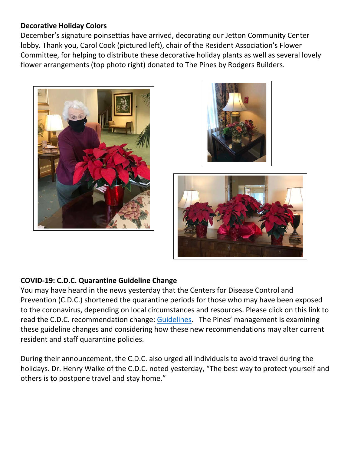### **Decorative Holiday Colors**

December's signature poinsettias have arrived, decorating our Jetton Community Center lobby. Thank you, Carol Cook (pictured left), chair of the Resident Association's Flower Committee, for helping to distribute these decorative holiday plants as well as several lovely flower arrangements (top photo right) donated to The Pines by Rodgers Builders.







### **COVID-19: C.D.C. Quarantine Guideline Change**

You may have heard in the news yesterday that the Centers for Disease Control and Prevention (C.D.C.) shortened the quarantine periods for those who may have been exposed to the coronavirus, depending on local circumstances and resources. Please click on this link to read the C.D.C. recommendation change: [Guidelines.](https://www.cdc.gov/coronavirus/2019-ncov/more/scientific-brief-options-to-reduce-quarantine.html) The Pines' management is examining these guideline changes and considering how these new recommendations may alter current resident and staff quarantine policies.

During their announcement, the C.D.C. also urged all individuals to avoid travel during the holidays. Dr. Henry Walke of the C.D.C. noted yesterday, "The best way to protect yourself and others is to postpone travel and stay home."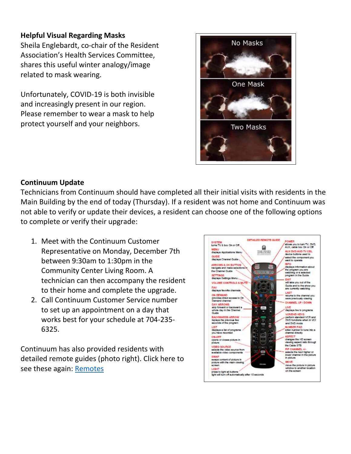## **Helpful Visual Regarding Masks**

Sheila Englebardt, co-chair of the Resident Association's Health Services Committee, shares this useful winter analogy/image related to mask wearing.

Unfortunately, COVID-19 is both invisible and increasingly present in our region. Please remember to wear a mask to help protect yourself and your neighbors.



### **Continuum Update**

Technicians from Continuum should have completed all their initial visits with residents in the Main Building by the end of today (Thursday). If a resident was not home and Continuum was not able to verify or update their devices, a resident can choose one of the following options to complete or verify their upgrade:

- 1. Meet with the Continuum Customer Representative on Monday, December 7th between 9:30am to 1:30pm in the Community Center Living Room. A technician can then accompany the resident to their home and complete the upgrade.
- 2. Call Continuum Customer Service number to set up an appointment on a day that works best for your schedule at 704-235- 6325.

Continuum has also provided residents with detailed remote guides (photo right). Click here to see these again: [Remotes](https://www.mycommunity-center.com/filephotos/463/Continuum%20Remote%20Guide%20Phazr%20%28003%29.pdf)